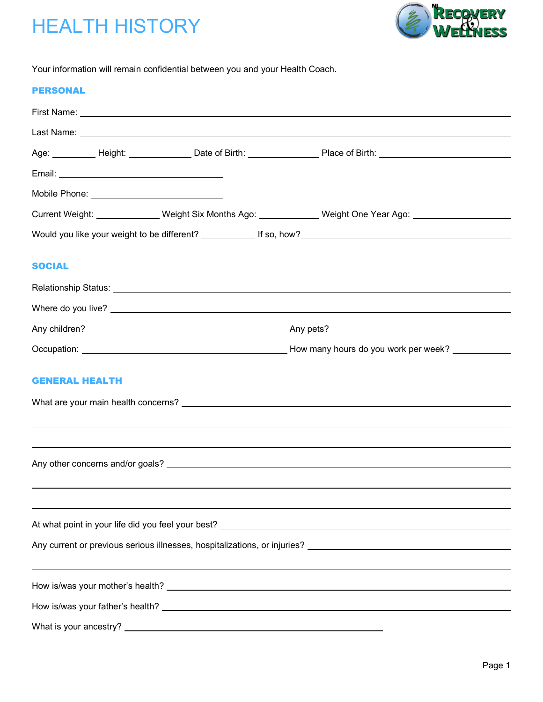

Your information will remain confidential between you and your Health Coach.

#### PERSONAL

|               |                       | Current Weight: _______________Weight Six Months Ago: _____________Weight One Year Ago: ____________ |  |
|---------------|-----------------------|------------------------------------------------------------------------------------------------------|--|
|               |                       |                                                                                                      |  |
|               |                       |                                                                                                      |  |
| <b>SOCIAL</b> |                       |                                                                                                      |  |
|               |                       |                                                                                                      |  |
|               |                       |                                                                                                      |  |
|               |                       |                                                                                                      |  |
|               |                       |                                                                                                      |  |
|               | <b>GENERAL HEALTH</b> |                                                                                                      |  |
|               |                       |                                                                                                      |  |
|               |                       |                                                                                                      |  |
|               |                       |                                                                                                      |  |
|               |                       |                                                                                                      |  |
|               |                       |                                                                                                      |  |
|               |                       |                                                                                                      |  |
|               |                       |                                                                                                      |  |
|               |                       |                                                                                                      |  |
|               |                       |                                                                                                      |  |
|               |                       |                                                                                                      |  |
|               |                       |                                                                                                      |  |
|               |                       |                                                                                                      |  |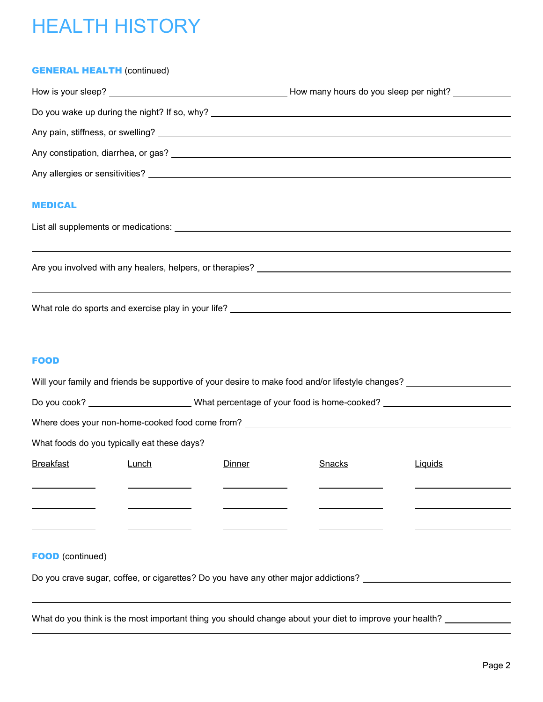# HEALTH HISTORY

#### **GENERAL HEALTH (continued)**

|                                                                                  | How many hours do you sleep per night? |
|----------------------------------------------------------------------------------|----------------------------------------|
| Do you wake up during the night? If so, why? ___________________________________ |                                        |
|                                                                                  |                                        |
|                                                                                  |                                        |
|                                                                                  |                                        |
|                                                                                  |                                        |

#### MEDICAL

| List all supplements or medications: |  |
|--------------------------------------|--|
|--------------------------------------|--|

Are you involved with any healers, helpers, or therapies?

What role do sports and exercise play in your life?

### FOOD

|                                                                                    |       |                                                                                                            | Will your family and friends be supportive of your desire to make food and/or lifestyle changes? |         |  |  |  |  |
|------------------------------------------------------------------------------------|-------|------------------------------------------------------------------------------------------------------------|--------------------------------------------------------------------------------------------------|---------|--|--|--|--|
|                                                                                    |       | Do you cook? __________________________What percentage of your food is home-cooked? ______________________ |                                                                                                  |         |  |  |  |  |
|                                                                                    |       |                                                                                                            | Where does your non-home-cooked food come from? ________________________________                 |         |  |  |  |  |
| What foods do you typically eat these days?                                        |       |                                                                                                            |                                                                                                  |         |  |  |  |  |
| <b>Breakfast</b>                                                                   | Lunch | Dinner                                                                                                     | Snacks                                                                                           | Liquids |  |  |  |  |
|                                                                                    |       |                                                                                                            |                                                                                                  |         |  |  |  |  |
|                                                                                    |       |                                                                                                            |                                                                                                  |         |  |  |  |  |
|                                                                                    |       |                                                                                                            |                                                                                                  |         |  |  |  |  |
| <b>FOOD</b> (continued)                                                            |       |                                                                                                            |                                                                                                  |         |  |  |  |  |
| Do you crave sugar, coffee, or cigarettes? Do you have any other major addictions? |       |                                                                                                            |                                                                                                  |         |  |  |  |  |

What do you think is the most important thing you should change about your diet to improve your health?